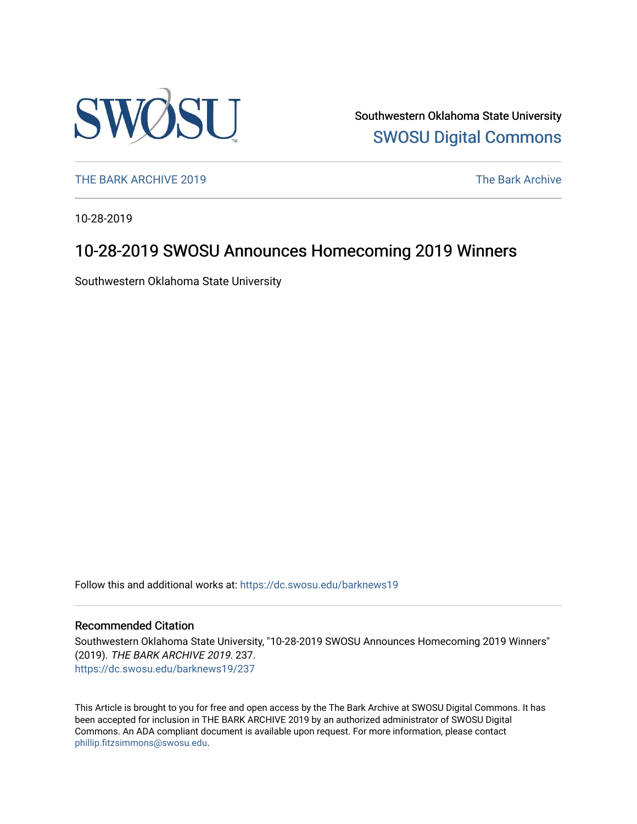

Southwestern Oklahoma State University [SWOSU Digital Commons](https://dc.swosu.edu/) 

[THE BARK ARCHIVE 2019](https://dc.swosu.edu/barknews19) The Bark Archive

10-28-2019

## 10-28-2019 SWOSU Announces Homecoming 2019 Winners

Southwestern Oklahoma State University

Follow this and additional works at: [https://dc.swosu.edu/barknews19](https://dc.swosu.edu/barknews19?utm_source=dc.swosu.edu%2Fbarknews19%2F237&utm_medium=PDF&utm_campaign=PDFCoverPages)

#### Recommended Citation

Southwestern Oklahoma State University, "10-28-2019 SWOSU Announces Homecoming 2019 Winners" (2019). THE BARK ARCHIVE 2019. 237. [https://dc.swosu.edu/barknews19/237](https://dc.swosu.edu/barknews19/237?utm_source=dc.swosu.edu%2Fbarknews19%2F237&utm_medium=PDF&utm_campaign=PDFCoverPages)

This Article is brought to you for free and open access by the The Bark Archive at SWOSU Digital Commons. It has been accepted for inclusion in THE BARK ARCHIVE 2019 by an authorized administrator of SWOSU Digital Commons. An ADA compliant document is available upon request. For more information, please contact [phillip.fitzsimmons@swosu.edu](mailto:phillip.fitzsimmons@swosu.edu).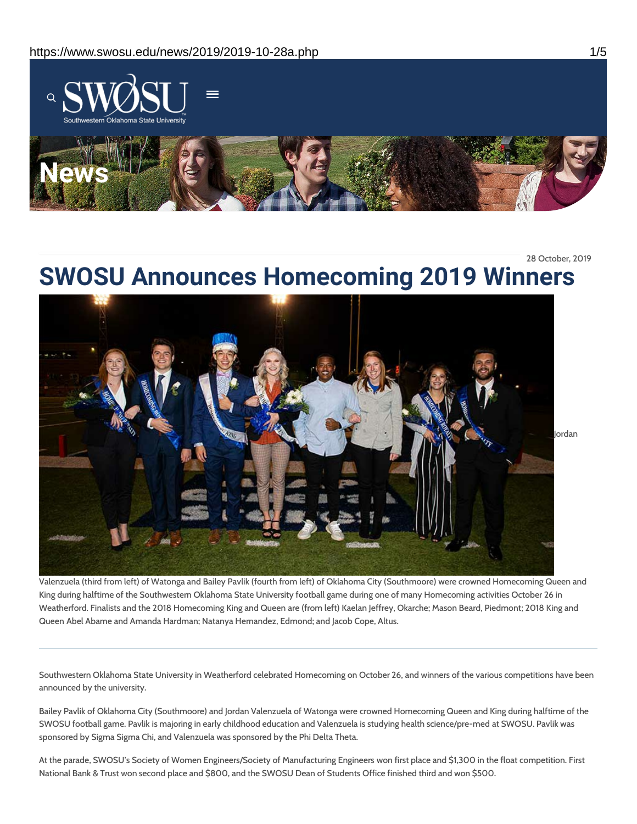

28 October, 2019

# **SWOSU Announces Homecoming 2019 Winners**



Valenzuela (third from left) of Watonga and Bailey Pavlik (fourth from left) of Oklahoma City (Southmoore) were crowned Homecoming Queen and King during halftime of the Southwestern Oklahoma State University football game during one of many Homecoming activities October 26 in Weatherford. Finalists and the 2018 Homecoming King and Queen are (from left) Kaelan Jeffrey, Okarche; Mason Beard, Piedmont; 2018 King and Queen Abel Abame and Amanda Hardman; Natanya Hernandez, Edmond; and Jacob Cope, Altus.

Southwestern Oklahoma State University in Weatherford celebrated Homecoming on October 26, and winners of the various competitions have been announced by the university.

Bailey Pavlik of Oklahoma City (Southmoore) and Jordan Valenzuela of Watonga were crowned Homecoming Queen and King during halftime of the SWOSU football game. Pavlik is majoring in early childhood education and Valenzuela is studying health science/pre-med at SWOSU. Pavlik was sponsored by Sigma Sigma Chi, and Valenzuela was sponsored by the Phi Delta Theta.

At the parade, SWOSU's Society of Women Engineers/Society of Manufacturing Engineers won first place and \$1,300 in the float competition. First National Bank & Trust won second place and \$800, and the SWOSU Dean of Students Office finished third and won \$500.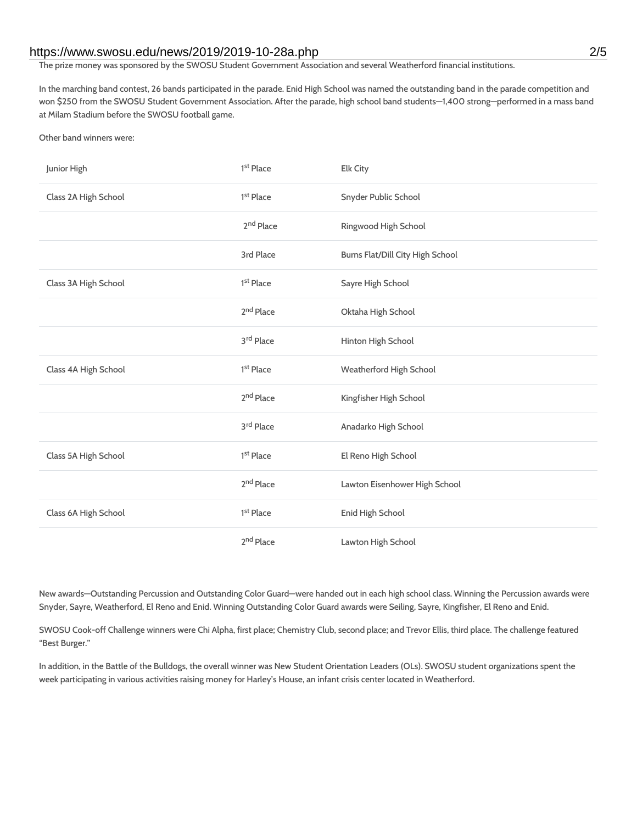#### https://www.swosu.edu/news/2019/2019-10-28a.php 2/5

The prize money was sponsored by the SWOSU Student Government Association and several Weatherford financial institutions.

In the marching band contest, 26 bands participated in the parade. Enid High School was named the outstanding band in the parade competition and won \$250 from the SWOSU Student Government Association. After the parade, high school band students—1,400 strong—performed in a mass band at Milam Stadium before the SWOSU football game.

Other band winners were:

| Junior High          | 1 <sup>st</sup> Place | Elk City                         |
|----------------------|-----------------------|----------------------------------|
| Class 2A High School | 1 <sup>st</sup> Place | Snyder Public School             |
|                      | 2 <sup>nd</sup> Place | Ringwood High School             |
|                      | 3rd Place             | Burns Flat/Dill City High School |
| Class 3A High School | 1 <sup>st</sup> Place | Sayre High School                |
|                      | 2 <sup>nd</sup> Place | Oktaha High School               |
|                      | 3rd Place             | Hinton High School               |
| Class 4A High School | 1 <sup>st</sup> Place | Weatherford High School          |
|                      | $2^{\rm nd}$ Place    | Kingfisher High School           |
|                      | 3rd Place             | Anadarko High School             |
| Class 5A High School | 1 <sup>st</sup> Place | El Reno High School              |
|                      | 2 <sup>nd</sup> Place | Lawton Eisenhower High School    |
| Class 6A High School | 1 <sup>st</sup> Place | Enid High School                 |
|                      | 2 <sup>nd</sup> Place | Lawton High School               |

New awards—Outstanding Percussion and Outstanding Color Guard—were handed out in each high school class. Winning the Percussion awards were Snyder, Sayre, Weatherford, El Reno and Enid. Winning Outstanding Color Guard awards were Seiling, Sayre, Kingfisher, El Reno and Enid.

SWOSU Cook-off Challenge winners were Chi Alpha, first place; Chemistry Club, second place; and Trevor Ellis, third place. The challenge featured "Best Burger."

In addition, in the Battle of the Bulldogs, the overall winner was New Student Orientation Leaders (OLs). SWOSU student organizations spent the week participating in various activities raising money for Harley's House, an infant crisis center located in Weatherford.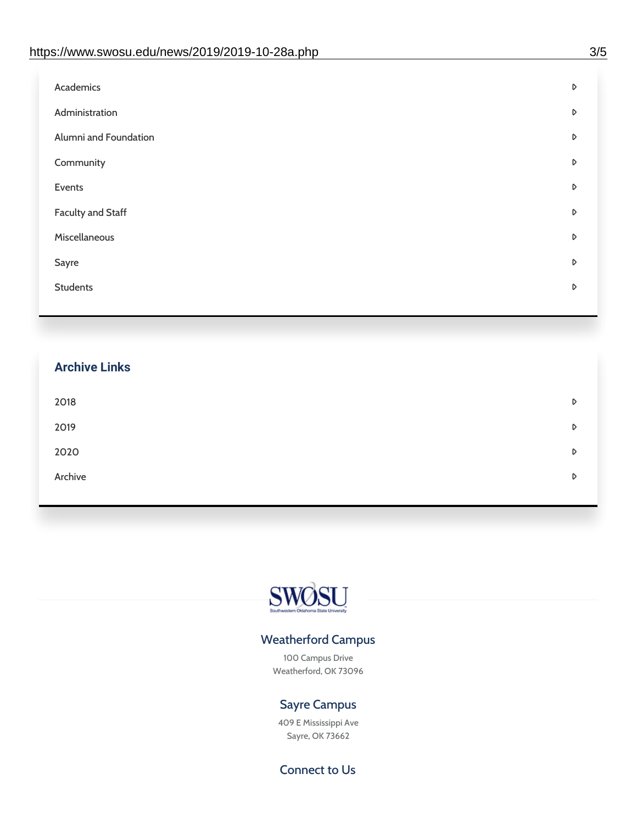| Academics                | D |
|--------------------------|---|
| Administration           | D |
| Alumni and Foundation    | D |
| Community                | D |
| Events                   | D |
| <b>Faculty and Staff</b> | D |
| Miscellaneous            | D |
| Sayre                    | D |
| <b>Students</b>          | D |
|                          |   |

## **Archive Links**  $2018$  $2019$ [2020](https://www.swosu.edu/news/2020/index.php)  $\bullet$ [Archive](https://dc.swosu.edu/bark/) **Archive Archive Archive Archive Archive** Archive Archive Archive Archive Archive Archive Archive Archive



### Weatherford Campus

100 Campus Drive Weatherford, OK 73096

### Sayre Campus

409 E Mississippi Ave Sayre, OK 73662

Connect to Us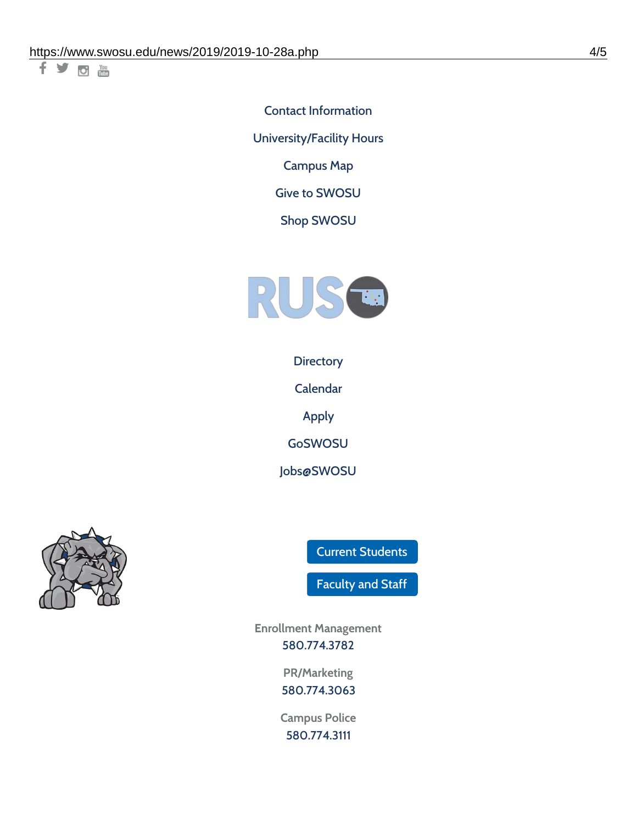十岁回调

Contact [Information](https://www.swosu.edu/about/contact.php)

[University/Facility](https://www.swosu.edu/about/operating-hours.php) Hours

[Campus](https://map.concept3d.com/?id=768#!ct/10964,10214,10213,10212,10205,10204,10203,10202,10136,10129,10128,0,31226,10130,10201,10641,0) Map

Give to [SWOSU](https://standingfirmly.com/donate)

Shop [SWOSU](https://shopswosu.merchorders.com/)



**[Directory](https://www.swosu.edu/directory/index.php)** 

[Calendar](https://eventpublisher.dudesolutions.com/swosu/)

[Apply](https://www.swosu.edu/admissions/apply-to-swosu.php)

[GoSWOSU](https://qlsso.quicklaunchsso.com/home/1267)

[Jobs@SWOSU](https://swosu.csod.com/ux/ats/careersite/1/home?c=swosu)



Current [Students](https://bulldog.swosu.edu/index.php)

[Faculty](https://bulldog.swosu.edu/faculty-staff/index.php) and Staff

**Enrollment Management** [580.774.3782](tel:5807743782)

> **PR/Marketing** [580.774.3063](tel:5807743063)

**Campus Police** [580.774.3111](tel:5807743111)